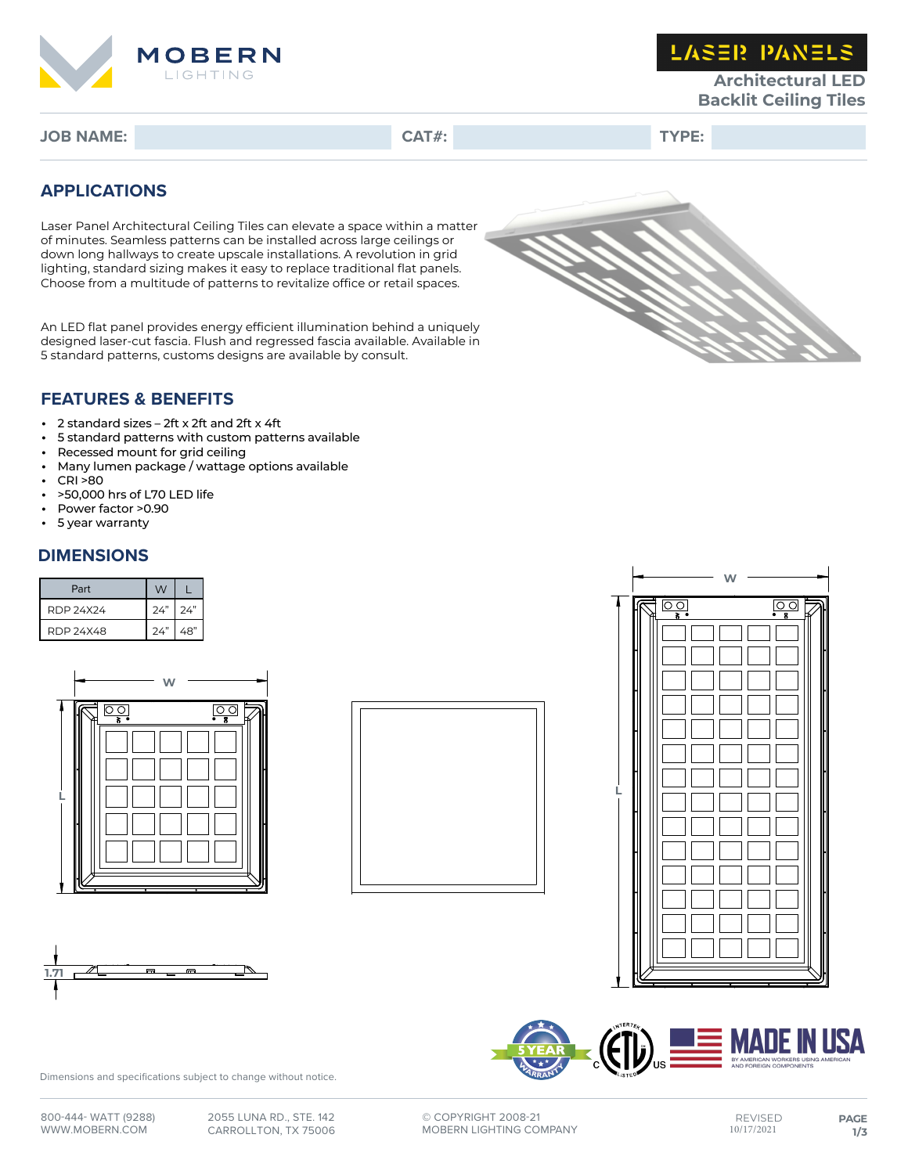

**LASER PANELS** 

**Architectural LED Backlit Ceiling Tiles**

**JOB NAME: CAT#: TYPE:**

### **APPLICATIONS**

Laser Panel Architectural Ceiling Tiles can elevate a space within a matter of minutes. Seamless patterns can be installed across large ceilings or down long hallways to create upscale installations. A revolution in grid lighting, standard sizing makes it easy to replace traditional flat panels. Choose from a multitude of patterns to revitalize office or retail spaces.

An LED flat panel provides energy efficient illumination behind a uniquely designed laser-cut fascia. Flush and regressed fascia available. Available in 5 standard patterns, customs designs are available by consult.



### **FEATURES & BENEFITS**

- 2 standard sizes 2ft x 2ft and 2ft x 4ft
- 5 standard patterns with custom patterns available<br>• Recessed mount for grid ceiling
- Recessed mount for grid ceiling<br>• Many lumen package / wattage
- Many lumen package / wattage options available
- CRI >80
- >50,000 hrs of L70 LED life
- Power factor >0.90
- 5 year warranty

### **DIMENSIONS**

| Part      | W         |     |
|-----------|-----------|-----|
| RDP 24X24 | $24"$ 24" |     |
| RDP 24X48 | 24"       | 48" |











Dimensions and specifications subject to change without notice.

**©** COPYRIGHT 2008-21 MOBERN LIGHTING COMPANY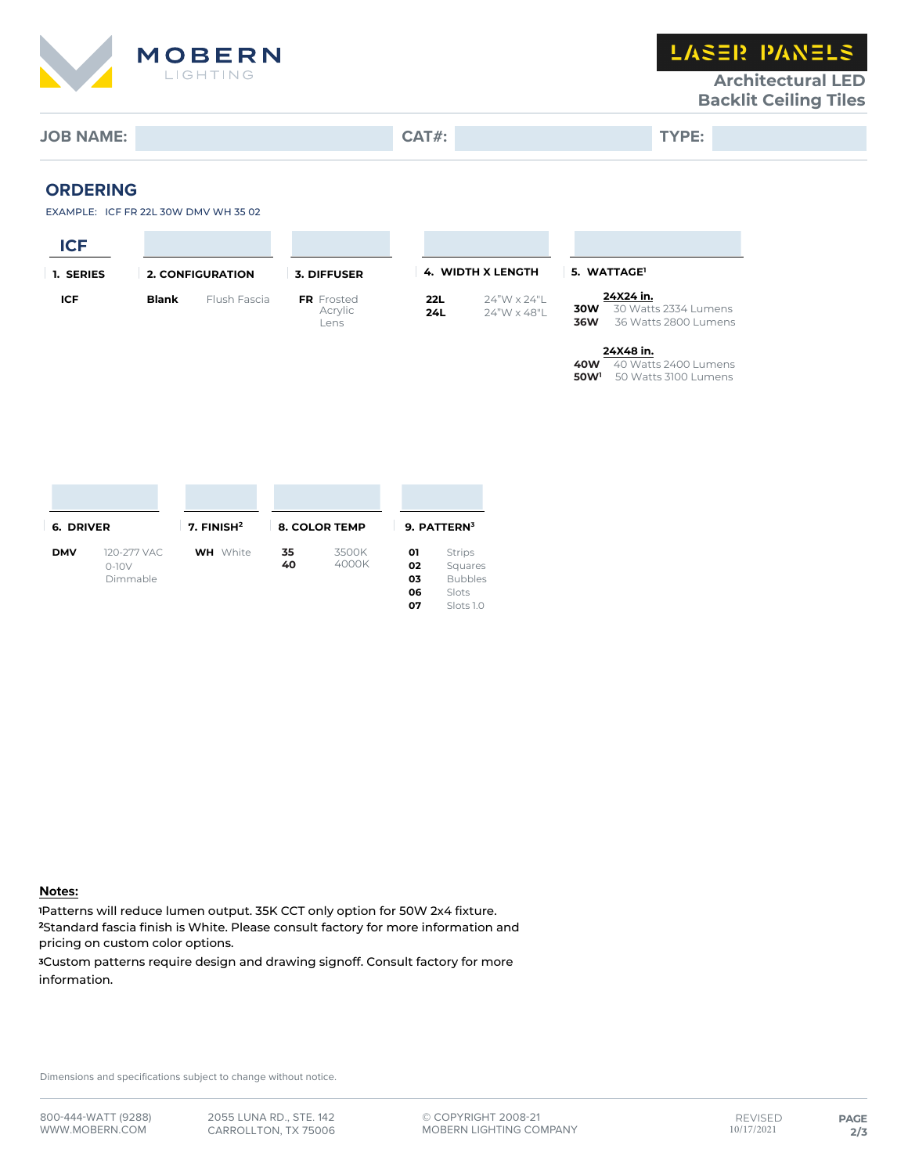

**LASER PANELS** 

### **Architectural LED Backlit Ceiling Tiles**

# **JOB NAME: CAT#: TYPE:**

# **ORDERING**

| <b>URDERING</b> |     |
|-----------------|-----|
|                 | $-$ |

| EXAMPLE: ICF FR 22L 30W DMV WH 35 02 |  |
|--------------------------------------|--|
|                                      |  |

| <b>ICF</b> |              |                         |                                      |            |                            |                                |                                                           |
|------------|--------------|-------------------------|--------------------------------------|------------|----------------------------|--------------------------------|-----------------------------------------------------------|
| 1. SERIES  |              | <b>2. CONFIGURATION</b> | 3. DIFFUSER                          |            | <b>4. WIDTH X LENGTH</b>   |                                | 5. WATTAGE <sup>1</sup>                                   |
| ICF        | <b>Blank</b> | Flush Fascia            | <b>FR</b> Frosted<br>Acrylic<br>Lens | 22L<br>24L | 24"W x 24"L<br>24"W x 48"L | 30W<br><b>36W</b>              | 24X24 in.<br>30 Watts 2334 Lumens<br>36 Watts 2800 Lumens |
|            |              |                         |                                      |            |                            | <b>40W</b><br>50W <sup>1</sup> | 24X48 in.<br>40 Watts 2400 Lumens<br>50 Watts 3100 Lumens |

| 6. DRIVER  |                                    | 7. $FINISH2$    | <b>8. COLOR TEMP</b> |                | 9. PATTERN3                |                                                                  |
|------------|------------------------------------|-----------------|----------------------|----------------|----------------------------|------------------------------------------------------------------|
| <b>DMV</b> | 120-277 VAC<br>$0-10V$<br>Dimmable | <b>WH</b> White | 35<br>40             | 3500K<br>4000K | 01<br>02<br>03<br>06<br>07 | <b>Strips</b><br>Squares<br><b>Bubbles</b><br>Slots<br>Slots 1.0 |

#### **Notes:**

<sup>1</sup>Patterns will reduce lumen output. 35K CCT only option for 50W 2x4 fixture. <sup>2</sup>Standard fascia finish is White. Please consult factory for more information and pricing on custom color options.

<sup>3</sup>Custom patterns require design and drawing signoff. Consult factory for more information.

Dimensions and specifications subject to change without notice.